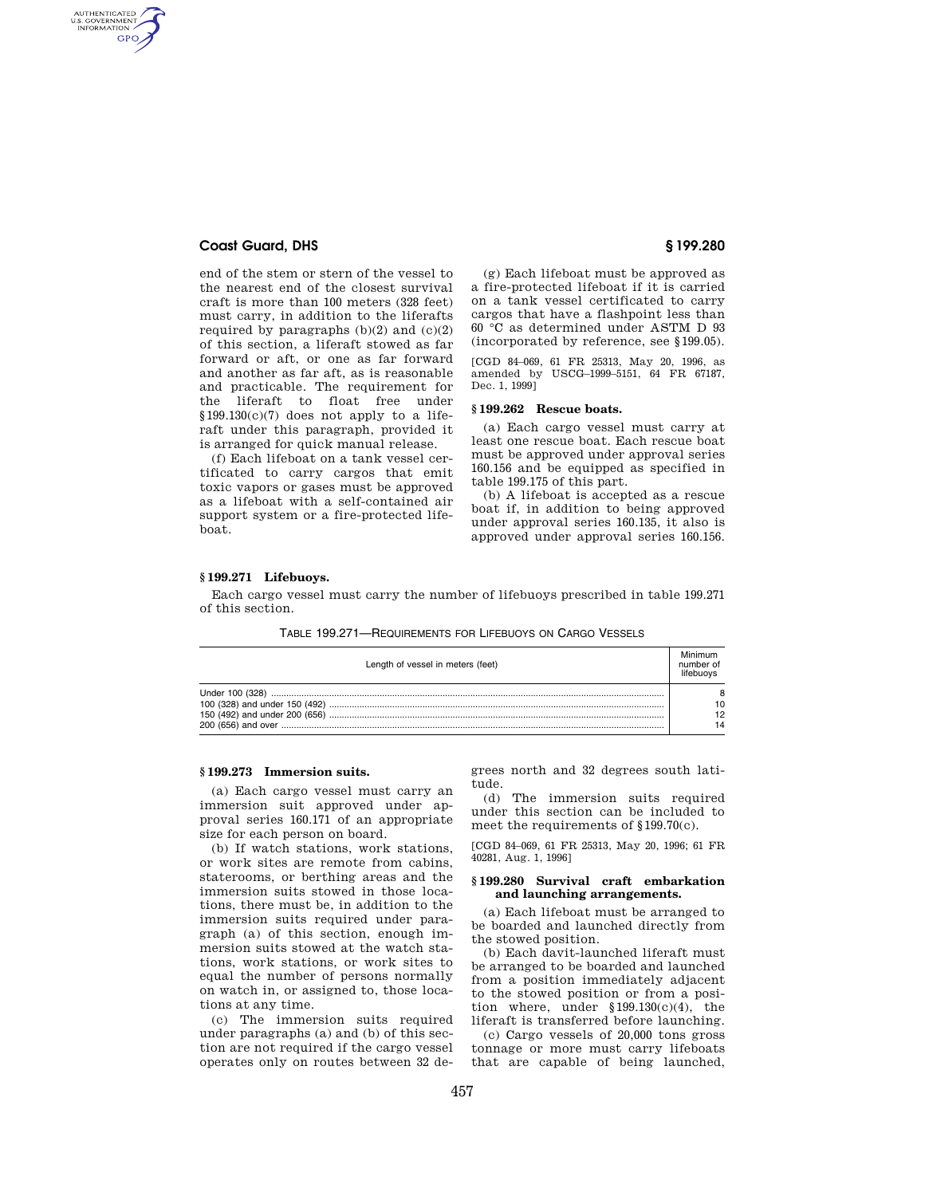# **Coast Guard, DHS § 199.280**

AUTHENTICATED<br>U.S. GOVERNMENT<br>INFORMATION **GPO** 

> end of the stem or stern of the vessel to the nearest end of the closest survival craft is more than 100 meters (328 feet) must carry, in addition to the liferafts required by paragraphs  $(b)(2)$  and  $(c)(2)$ of this section, a liferaft stowed as far forward or aft, or one as far forward and another as far aft, as is reasonable and practicable. The requirement for the liferaft to float free under  $$199.130(c)(7)$  does not apply to a liferaft under this paragraph, provided it is arranged for quick manual release.

> (f) Each lifeboat on a tank vessel certificated to carry cargos that emit toxic vapors or gases must be approved as a lifeboat with a self-contained air support system or a fire-protected lifeboat.

(g) Each lifeboat must be approved as a fire-protected lifeboat if it is carried on a tank vessel certificated to carry cargos that have a flashpoint less than 60 °C as determined under ASTM D 93 (incorporated by reference, see §199.05).

[CGD 84–069, 61 FR 25313, May 20, 1996, as amended by USCG–1999–5151, 64 FR 67187, Dec. 1, 1999]

## **§ 199.262 Rescue boats.**

(a) Each cargo vessel must carry at least one rescue boat. Each rescue boat must be approved under approval series 160.156 and be equipped as specified in table 199.175 of this part.

(b) A lifeboat is accepted as a rescue boat if, in addition to being approved under approval series 160.135, it also is approved under approval series 160.156.

#### **§ 199.271 Lifebuoys.**

Each cargo vessel must carry the number of lifebuoys prescribed in table 199.271 of this section.

TABLE 199.271—REQUIREMENTS FOR LIFEBUOYS ON CARGO VESSELS

| Length of vessel in meters (feet) | number of      |
|-----------------------------------|----------------|
|                                   | 10<br>12<br>14 |

### **§ 199.273 Immersion suits.**

(a) Each cargo vessel must carry an immersion suit approved under approval series 160.171 of an appropriate size for each person on board.

(b) If watch stations, work stations, or work sites are remote from cabins, staterooms, or berthing areas and the immersion suits stowed in those locations, there must be, in addition to the immersion suits required under paragraph (a) of this section, enough immersion suits stowed at the watch stations, work stations, or work sites to equal the number of persons normally on watch in, or assigned to, those locations at any time.

(c) The immersion suits required under paragraphs (a) and (b) of this section are not required if the cargo vessel operates only on routes between 32 degrees north and 32 degrees south latitude.

(d) The immersion suits required under this section can be included to meet the requirements of §199.70(c).

[CGD 84–069, 61 FR 25313, May 20, 1996; 61 FR 40281, Aug. 1, 1996]

#### **§ 199.280 Survival craft embarkation and launching arrangements.**

(a) Each lifeboat must be arranged to be boarded and launched directly from the stowed position.

(b) Each davit-launched liferaft must be arranged to be boarded and launched from a position immediately adjacent to the stowed position or from a position where, under  $$199.130(c)(4)$ , the liferaft is transferred before launching.

(c) Cargo vessels of 20,000 tons gross tonnage or more must carry lifeboats that are capable of being launched,